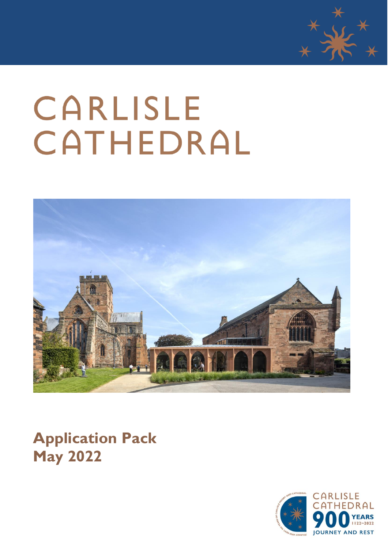

# CARLISLE CATHEDRAL



**Application Pack May 2022**

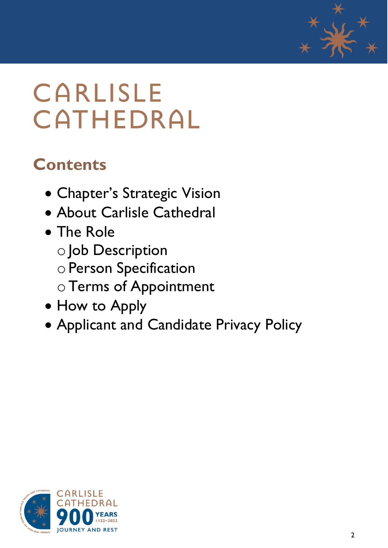

# **CARLISLE** CATHEDRAL

### **Contents**

- Chapter's Strategic Vision
- About Carlisle Cathedral
- The Role
	- o Job Description
	- oPerson Specification
	- oTerms of Appointment
- How to Apply
- Applicant and Candidate Privacy Policy

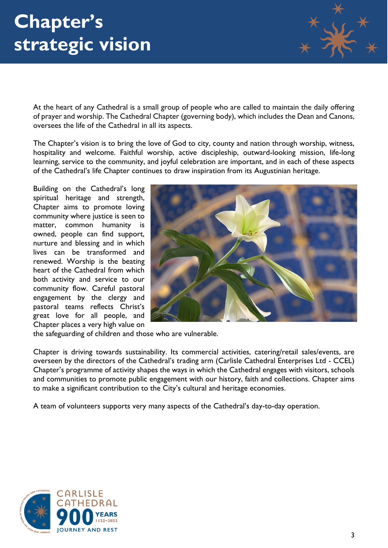

At the heart of any Cathedral is a small group of people who are called to maintain the daily offering of prayer and worship. The Cathedral Chapter (governing body), which includes the Dean and Canons, oversees the life of the Cathedral in all its aspects.

The Chapter's vision is to bring the love of God to city, county and nation through worship, witness, hospitality and welcome. Faithful worship, active discipleship, outward-looking mission, life-long learning, service to the community, and joyful celebration are important, and in each of these aspects of the Cathedral's life Chapter continues to draw inspiration from its Augustinian heritage.

Building on the Cathedral's long spiritual heritage and strength, Chapter aims to promote loving community where justice is seen to matter, common humanity is owned, people can find support, nurture and blessing and in which lives can be transformed and renewed. Worship is the beating heart of the Cathedral from which both activity and service to our community flow. Careful pastoral engagement by the clergy and pastoral teams reflects Christ's great love for all people, and Chapter places a very high value on



the safeguarding of children and those who are vulnerable.

Chapter is driving towards sustainability. Its commercial activities, catering/retail sales/events, are overseen by the directors of the Cathedral's trading arm (Carlisle Cathedral Enterprises Ltd - CCEL) Chapter's programme of activity shapes the ways in which the Cathedral engages with visitors, schools and communities to promote public engagement with our history, faith and collections. Chapter aims to make a significant contribution to the City's cultural and heritage economies.

A team of volunteers supports very many aspects of the Cathedral's day-to-day operation.

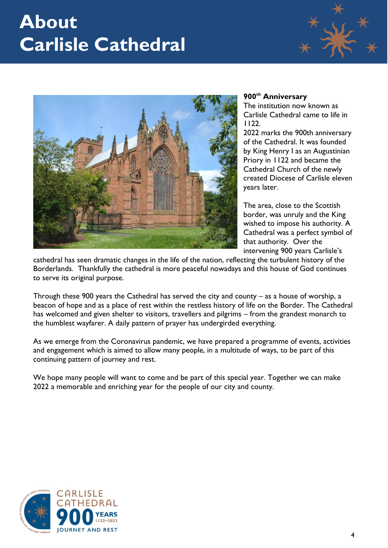### **About Carlisle Cathedral**





### **900th Anniversary**

The institution now known as Carlisle Cathedral came to life in 1122.

2022 marks the 900th anniversary of the Cathedral. It was founded by King Henry I as an Augustinian Priory in 1122 and became the Cathedral Church of the newly created Diocese of Carlisle eleven years later.

The area, close to the Scottish border, was unruly and the King wished to impose his authority. A Cathedral was a perfect symbol of that authority. Over the intervening 900 years Carlisle's

cathedral has seen dramatic changes in the life of the nation, reflecting the turbulent history of the Borderlands. Thankfully the cathedral is more peaceful nowadays and this house of God continues to serve its original purpose.

Through these 900 years the Cathedral has served the city and county – as a house of worship, a beacon of hope and as a place of rest within the restless history of life on the Border. The Cathedral has welcomed and given shelter to visitors, travellers and pilgrims – from the grandest monarch to the humblest wayfarer. A daily pattern of prayer has undergirded everything.

As we emerge from the Coronavirus pandemic, we have prepared a programme of events, activities and engagement which is aimed to allow many people, in a multitude of ways, to be part of this continuing pattern of journey and rest.

We hope many people will want to come and be part of this special year. Together we can make 2022 a memorable and enriching year for the people of our city and county.

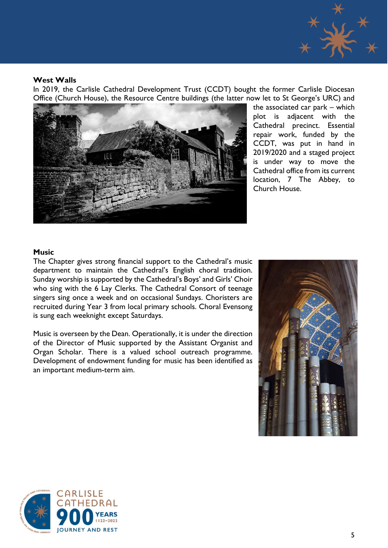

### **West Walls**

In 2019, the Carlisle Cathedral Development Trust (CCDT) bought the former Carlisle Diocesan Office (Church House), the Resource Centre buildings (the latter now let to St George's URC) and



the associated car park – which plot is adjacent with the Cathedral precinct. Essential repair work, funded by the CCDT, was put in hand in 2019/2020 and a staged project is under way to move the Cathedral office from its current location, 7 The Abbey, to Church House.

### **Music**

The Chapter gives strong financial support to the Cathedral's music department to maintain the Cathedral's English choral tradition. Sunday worship is supported by the Cathedral's Boys' and Girls' Choir who sing with the 6 Lay Clerks. The Cathedral Consort of teenage singers sing once a week and on occasional Sundays. Choristers are recruited during Year 3 from local primary schools. Choral Evensong is sung each weeknight except Saturdays.

Music is overseen by the Dean. Operationally, it is under the direction of the Director of Music supported by the Assistant Organist and Organ Scholar. There is a valued school outreach programme. Development of endowment funding for music has been identified as an important medium-term aim.



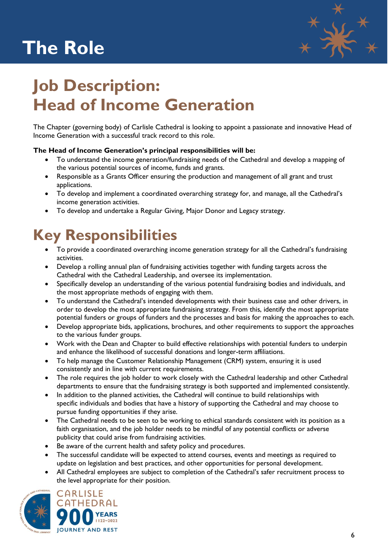# **The Role**



### **Job Description: Head of Income Generation**

The Chapter (governing body) of Carlisle Cathedral is looking to appoint a passionate and innovative Head of Income Generation with a successful track record to this role.

### **The Head of Income Generation's principal responsibilities will be:**

- To understand the income generation/fundraising needs of the Cathedral and develop a mapping of the various potential sources of income, funds and grants.
- Responsible as a Grants Officer ensuring the production and management of all grant and trust applications.
- To develop and implement a coordinated overarching strategy for, and manage, all the Cathedral's income generation activities.
- To develop and undertake a Regular Giving, Major Donor and Legacy strategy.

### **Key Responsibilities**

- To provide a coordinated overarching income generation strategy for all the Cathedral's fundraising activities.
- Develop a rolling annual plan of fundraising activities together with funding targets across the Cathedral with the Cathedral Leadership, and oversee its implementation.
- Specifically develop an understanding of the various potential fundraising bodies and individuals, and the most appropriate methods of engaging with them.
- To understand the Cathedral's intended developments with their business case and other drivers, in order to develop the most appropriate fundraising strategy. From this, identify the most appropriate potential funders or groups of funders and the processes and basis for making the approaches to each.
- Develop appropriate bids, applications, brochures, and other requirements to support the approaches to the various funder groups.
- Work with the Dean and Chapter to build effective relationships with potential funders to underpin and enhance the likelihood of successful donations and longer-term affiliations.
- To help manage the Customer Relationship Management (CRM) system, ensuring it is used consistently and in line with current requirements.
- The role requires the job holder to work closely with the Cathedral leadership and other Cathedral departments to ensure that the fundraising strategy is both supported and implemented consistently.
- In addition to the planned activities, the Cathedral will continue to build relationships with specific individuals and bodies that have a history of supporting the Cathedral and may choose to pursue funding opportunities if they arise.
- The Cathedral needs to be seen to be working to ethical standards consistent with its position as a faith organisation, and the job holder needs to be mindful of any potential conflicts or adverse publicity that could arise from fundraising activities.
- Be aware of the current health and safety policy and procedures.
- The successful candidate will be expected to attend courses, events and meetings as required to update on legislation and best practices, and other opportunities for personal development.
- All Cathedral employees are subject to completion of the Cathedral's safer recruitment process to the level appropriate for their position.



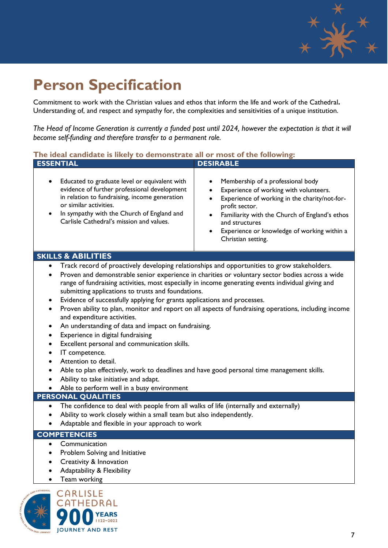

### **Person Specification**

Commitment to work with the Christian values and ethos that inform the life and work of the Cathedral**.** Understanding of, and respect and sympathy for, the complexities and sensitivities of a unique institution.

*The Head of Income Generation is currently a funded post until 2024, however the expectation is that it will become self-funding and therefore transfer to a permanent role.*

### **The ideal candidate is likely to demonstrate all or most of the following:**

| <b>ESSENTIAL</b>                                                                                                                                                                                                                                                                                                                                                                                                                                                                                                                                                                                                                                                                                                                                                                                                                                                                                                                                                                                                                                           | <b>DESIRABLE</b>                                                                                                                                                                                                                                                                                                  |
|------------------------------------------------------------------------------------------------------------------------------------------------------------------------------------------------------------------------------------------------------------------------------------------------------------------------------------------------------------------------------------------------------------------------------------------------------------------------------------------------------------------------------------------------------------------------------------------------------------------------------------------------------------------------------------------------------------------------------------------------------------------------------------------------------------------------------------------------------------------------------------------------------------------------------------------------------------------------------------------------------------------------------------------------------------|-------------------------------------------------------------------------------------------------------------------------------------------------------------------------------------------------------------------------------------------------------------------------------------------------------------------|
| Educated to graduate level or equivalent with<br>evidence of further professional development<br>in relation to fundraising, income generation<br>or similar activities.<br>In sympathy with the Church of England and<br>Carlisle Cathedral's mission and values.                                                                                                                                                                                                                                                                                                                                                                                                                                                                                                                                                                                                                                                                                                                                                                                         | Membership of a professional body<br>$\bullet$<br>Experience of working with volunteers.<br>$\bullet$<br>Experience of working in the charity/not-for-<br>profit sector.<br>Familiarity with the Church of England's ethos<br>and structures<br>Experience or knowledge of working within a<br>Christian setting. |
| <b>SKILLS &amp; ABILITIES</b>                                                                                                                                                                                                                                                                                                                                                                                                                                                                                                                                                                                                                                                                                                                                                                                                                                                                                                                                                                                                                              |                                                                                                                                                                                                                                                                                                                   |
| Track record of proactively developing relationships and opportunities to grow stakeholders.<br>Proven and demonstrable senior experience in charities or voluntary sector bodies across a wide<br>$\bullet$<br>range of fundraising activities, most especially in income generating events individual giving and<br>submitting applications to trusts and foundations.<br>Evidence of successfully applying for grants applications and processes.<br>$\bullet$<br>Proven ability to plan, monitor and report on all aspects of fundraising operations, including income<br>$\bullet$<br>and expenditure activities.<br>An understanding of data and impact on fundraising.<br>٠<br>Experience in digital fundraising<br>$\bullet$<br>Excellent personal and communication skills.<br>$\bullet$<br>IT competence.<br>$\bullet$<br>Attention to detail.<br>$\bullet$<br>Able to plan effectively, work to deadlines and have good personal time management skills.<br>Ability to take initiative and adapt.<br>Able to perform well in a busy environment |                                                                                                                                                                                                                                                                                                                   |
| PERSONAL QUALITIES                                                                                                                                                                                                                                                                                                                                                                                                                                                                                                                                                                                                                                                                                                                                                                                                                                                                                                                                                                                                                                         |                                                                                                                                                                                                                                                                                                                   |
| The confidence to deal with people from all walks of life (internally and externally)<br>$\bullet$                                                                                                                                                                                                                                                                                                                                                                                                                                                                                                                                                                                                                                                                                                                                                                                                                                                                                                                                                         |                                                                                                                                                                                                                                                                                                                   |

- Ability to work closely within a small team but also independently.
- Adaptable and flexible in your approach to work

### **COMPETENCIES**

- Communication
- Problem Solving and Initiative
- Creativity & Innovation
- Adaptability & Flexibility
- Team working

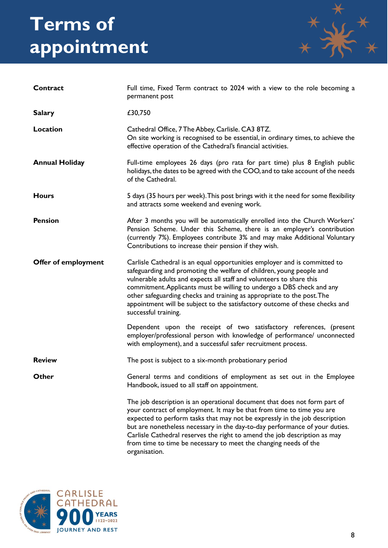# **Terms of appointment**



| Contract              | Full time, Fixed Term contract to 2024 with a view to the role becoming a<br>permanent post                                                                                                                                                                                                                                                                                                                                                                                         |
|-----------------------|-------------------------------------------------------------------------------------------------------------------------------------------------------------------------------------------------------------------------------------------------------------------------------------------------------------------------------------------------------------------------------------------------------------------------------------------------------------------------------------|
| <b>Salary</b>         | £30,750                                                                                                                                                                                                                                                                                                                                                                                                                                                                             |
| Location              | Cathedral Office, 7 The Abbey, Carlisle. CA3 8TZ.<br>On site working is recognised to be essential, in ordinary times, to achieve the<br>effective operation of the Cathedral's financial activities.                                                                                                                                                                                                                                                                               |
| <b>Annual Holiday</b> | Full-time employees 26 days (pro rata for part time) plus 8 English public<br>holidays, the dates to be agreed with the COO, and to take account of the needs<br>of the Cathedral.                                                                                                                                                                                                                                                                                                  |
| <b>Hours</b>          | 5 days (35 hours per week). This post brings with it the need for some flexibility<br>and attracts some weekend and evening work.                                                                                                                                                                                                                                                                                                                                                   |
| <b>Pension</b>        | After 3 months you will be automatically enrolled into the Church Workers'<br>Pension Scheme. Under this Scheme, there is an employer's contribution<br>(currently 7%). Employees contribute 3% and may make Additional Voluntary<br>Contributions to increase their pension if they wish.                                                                                                                                                                                          |
| Offer of employment   | Carlisle Cathedral is an equal opportunities employer and is committed to<br>safeguarding and promoting the welfare of children, young people and<br>vulnerable adults and expects all staff and volunteers to share this<br>commitment. Applicants must be willing to undergo a DBS check and any<br>other safeguarding checks and training as appropriate to the post. The<br>appointment will be subject to the satisfactory outcome of these checks and<br>successful training. |
|                       | Dependent upon the receipt of two satisfactory references, (present<br>employer/professional person with knowledge of performance/ unconnected<br>with employment), and a successful safer recruitment process.                                                                                                                                                                                                                                                                     |
| <b>Review</b>         | The post is subject to a six-month probationary period                                                                                                                                                                                                                                                                                                                                                                                                                              |
| Other                 | General terms and conditions of employment as set out in the Employee<br>Handbook, issued to all staff on appointment.                                                                                                                                                                                                                                                                                                                                                              |
|                       | The job description is an operational document that does not form part of<br>your contract of employment. It may be that from time to time you are<br>expected to perform tasks that may not be expressly in the job description<br>but are nonetheless necessary in the day-to-day performance of your duties.<br>Carlisle Cathedral reserves the right to amend the job description as may<br>from time to time be necessary to meet the changing needs of the<br>organisation.   |

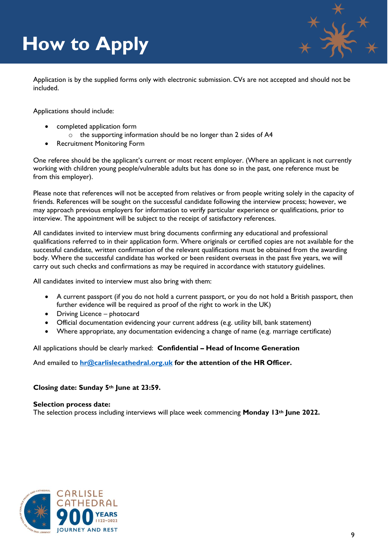# **How to Apply**



Application is by the supplied forms only with electronic submission. CVs are not accepted and should not be included.

Applications should include:

- completed application form
	- o the supporting information should be no longer than 2 sides of A4
- Recruitment Monitoring Form

One referee should be the applicant's current or most recent employer. (Where an applicant is not currently working with children young people/vulnerable adults but has done so in the past, one reference must be from this employer).

Please note that references will not be accepted from relatives or from people writing solely in the capacity of friends. References will be sought on the successful candidate following the interview process; however, we may approach previous employers for information to verify particular experience or qualifications, prior to interview. The appointment will be subject to the receipt of satisfactory references.

All candidates invited to interview must bring documents confirming any educational and professional qualifications referred to in their application form. Where originals or certified copies are not available for the successful candidate, written confirmation of the relevant qualifications must be obtained from the awarding body. Where the successful candidate has worked or been resident overseas in the past five years, we will carry out such checks and confirmations as may be required in accordance with statutory guidelines.

All candidates invited to interview must also bring with them:

- A current passport (if you do not hold a current passport, or you do not hold a British passport, then further evidence will be required as proof of the right to work in the UK)
- Driving Licence photocard
- Official documentation evidencing your current address (e.g. utility bill, bank statement)
- Where appropriate, any documentation evidencing a change of name (e.g. marriage certificate)

All applications should be clearly marked: **Confidential – Head of Income Generation**

And emailed to **[hr@carlislecathedral.org.uk](mailto:hr@carlislecathedral.org.uk) for the attention of the HR Officer.**

#### **Closing date: Sunday 5th June at 23:59.**

#### **Selection process date:**

The selection process including interviews will place week commencing **Monday 13th June 2022.**

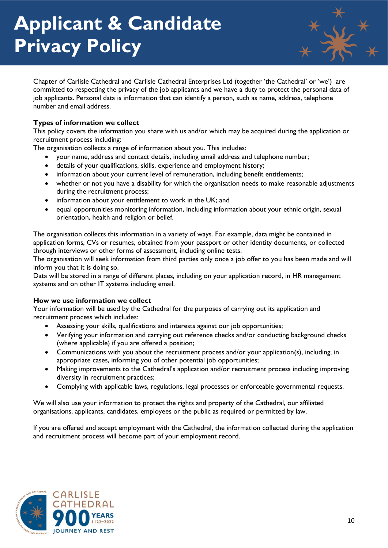

Chapter of Carlisle Cathedral and Carlisle Cathedral Enterprises Ltd (together 'the Cathedral' or 'we') are committed to respecting the privacy of the job applicants and we have a duty to protect the personal data of job applicants. Personal data is information that can identify a person, such as name, address, telephone number and email address.

### **Types of information we collect**

This policy covers the information you share with us and/or which may be acquired during the application or recruitment process including:

The organisation collects a range of information about you. This includes:

- your name, address and contact details, including email address and telephone number;
- details of your qualifications, skills, experience and employment history;
- information about your current level of remuneration, including benefit entitlements;
- whether or not you have a disability for which the organisation needs to make reasonable adjustments during the recruitment process;
- information about your entitlement to work in the UK; and
- equal opportunities monitoring information, including information about your ethnic origin, sexual orientation, health and religion or belief.

The organisation collects this information in a variety of ways. For example, data might be contained in application forms, CVs or resumes, obtained from your passport or other identity documents, or collected through interviews or other forms of assessment, including online tests.

The organisation will seek information from third parties only once a job offer to you has been made and will inform you that it is doing so.

Data will be stored in a range of different places, including on your application record, in HR management systems and on other IT systems including email.

#### **How we use information we collect**

Your information will be used by the Cathedral for the purposes of carrying out its application and recruitment process which includes:

- Assessing your skills, qualifications and interests against our job opportunities;
- Verifying your information and carrying out reference checks and/or conducting background checks (where applicable) if you are offered a position;
- Communications with you about the recruitment process and/or your application(s), including, in appropriate cases, informing you of other potential job opportunities;
- Making improvements to the Cathedral's application and/or recruitment process including improving diversity in recruitment practices;
- Complying with applicable laws, regulations, legal processes or enforceable governmental requests.

We will also use your information to protect the rights and property of the Cathedral, our affiliated organisations, applicants, candidates, employees or the public as required or permitted by law.

If you are offered and accept employment with the Cathedral, the information collected during the application and recruitment process will become part of your employment record.